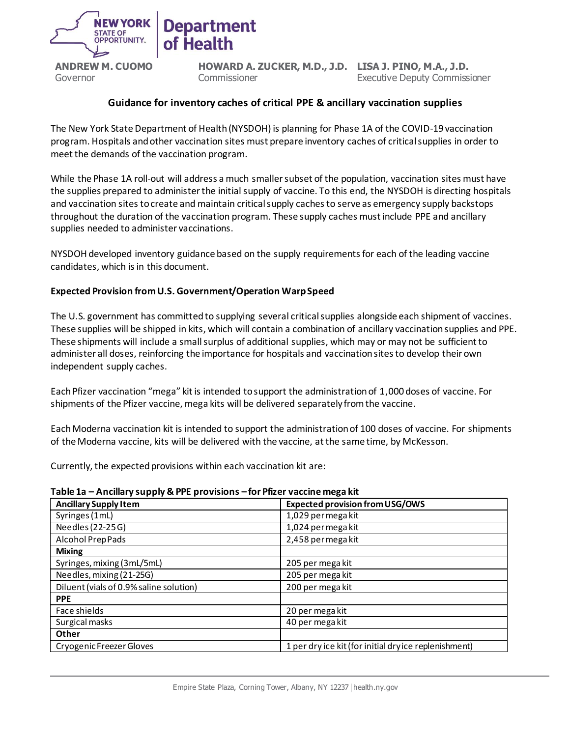

**HOWARD A. ZUCKER, M.D., J.D. LISA J. PINO, M.A., J.D. Commissioner** Executive Deputy Commissioner

### **Guidance for inventory caches of critical PPE & ancillary vaccination supplies**

The New York State Department of Health (NYSDOH) is planning for Phase 1A of the COVID-19 vaccination program. Hospitals and other vaccination sites must prepare inventory caches of critical supplies in order to meet the demands of the vaccination program.

While the Phase 1A roll-out will address a much smaller subset of the population, vaccination sites must have the supplies prepared to administer the initial supply of vaccine. To this end, the NYSDOH is directing hospitals and vaccination sites to create and maintain critical supply caches to serve as emergency supply backstops throughout the duration of the vaccination program. These supply caches mustinclude PPE and ancillary supplies needed to administer vaccinations.

NYSDOH developed inventory guidance based on the supply requirements for each of the leading vaccine candidates, which is in this document.

### **Expected Provision from U.S. Government/Operation Warp Speed**

**Health** 

The U.S. government has committed to supplying several critical supplies alongside each shipment of vaccines. These supplies will be shipped in kits, which will contain a combination of ancillary vaccination supplies and PPE. These shipments will include a small surplus of additional supplies, which may or may not be sufficient to administer all doses, reinforcing the importance for hospitals and vaccination sites to develop their own independent supply caches.

Each Pfizer vaccination "mega" kit is intended to support the administration of 1,000 doses of vaccine. For shipments of the Pfizer vaccine, mega kits will be delivered separately from the vaccine.

Each Moderna vaccination kit is intended to support the administration of 100 doses of vaccine. For shipments of the Moderna vaccine, kits will be delivered with the vaccine, at the same time, by McKesson.

Currently, the expected provisions within each vaccination kit are:

#### **Table 1a – Ancillary supply & PPE provisions – for Pfizer vaccine mega kit**

| <b>Ancillary Supply Item</b>            | <b>Expected provision from USG/OWS</b>               |  |  |
|-----------------------------------------|------------------------------------------------------|--|--|
| Syringes (1mL)                          | 1,029 per mega kit                                   |  |  |
| Needles (22-25G)                        | 1,024 per mega kit                                   |  |  |
| Alcohol Prep Pads                       | 2,458 per mega kit                                   |  |  |
| <b>Mixing</b>                           |                                                      |  |  |
| Syringes, mixing (3mL/5mL)              | 205 per mega kit                                     |  |  |
| Needles, mixing (21-25G)                | 205 per mega kit                                     |  |  |
| Diluent (vials of 0.9% saline solution) | 200 per mega kit                                     |  |  |
| <b>PPE</b>                              |                                                      |  |  |
| Face shields                            | 20 per mega kit                                      |  |  |
| Surgical masks                          | 40 per mega kit                                      |  |  |
| Other                                   |                                                      |  |  |
| Cryogenic Freezer Gloves                | 1 per dry ice kit (for initial dryice replenishment) |  |  |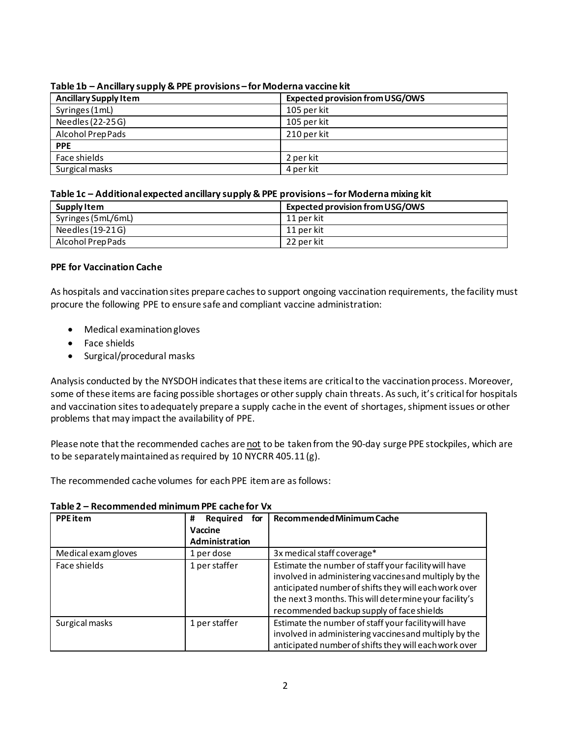| <b>Ancillary Supply Item</b> | <b>Expected provision from USG/OWS</b> |
|------------------------------|----------------------------------------|
| Syringes (1mL)               | 105 per kit                            |
| Needles (22-25G)             | 105 per kit                            |
| Alcohol Prep Pads            | 210 per kit                            |
| <b>PPE</b>                   |                                        |
| Face shields                 | 2 per kit                              |
| Surgical masks               | 4 per kit                              |

#### **Table 1b – Ancillary supply & PPE provisions – for Moderna vaccine kit**

#### **Table 1c – Additional expected ancillary supply & PPE provisions – for Moderna mixing kit**

| Supply Item        | <b>Expected provision from USG/OWS</b> |
|--------------------|----------------------------------------|
| Syringes (5mL/6mL) | 11 per kit                             |
| Needles (19-21G)   | 11 per kit                             |
| Alcohol Prep Pads  | 22 per kit                             |

### **PPE for Vaccination Cache**

As hospitals and vaccination sites prepare caches to support ongoing vaccination requirements, the facility must procure the following PPE to ensure safe and compliant vaccine administration:

- Medical examination gloves
- Face shields
- Surgical/procedural masks

Analysis conducted by the NYSDOH indicates that these items are critical to the vaccination process. Moreover, some of these items are facing possible shortages or other supply chain threats. As such, it's critical for hospitals and vaccination sites to adequately prepare a supply cache in the event of shortages, shipment issues or other problems that may impact the availability of PPE.

Please note that the recommended caches are not to be taken from the 90-day surge PPE stockpiles, which are to be separately maintained as required by 10 NYCRR 405.11 (g).

The recommended cache volumes for each PPE item are as follows:

| <b>PPE</b> item     | <b>Required</b><br>#<br>for | Recommended Minimum Cache                                                                                                                                                                                                                                                      |
|---------------------|-----------------------------|--------------------------------------------------------------------------------------------------------------------------------------------------------------------------------------------------------------------------------------------------------------------------------|
|                     | Vaccine                     |                                                                                                                                                                                                                                                                                |
|                     | Administration              |                                                                                                                                                                                                                                                                                |
| Medical exam gloves | 1 per dose                  | 3x medical staff coverage*                                                                                                                                                                                                                                                     |
| Face shields        | 1 per staffer               | Estimate the number of staff your facility will have<br>involved in administering vaccines and multiply by the<br>anticipated number of shifts they will each work over<br>the next 3 months. This will determine your facility's<br>recommended backup supply of face shields |
| Surgical masks      | 1 per staffer               | Estimate the number of staff your facility will have<br>involved in administering vaccines and multiply by the<br>anticipated number of shifts they will each work over                                                                                                        |

#### **Table 2 – Recommended minimum PPE cache for Vx**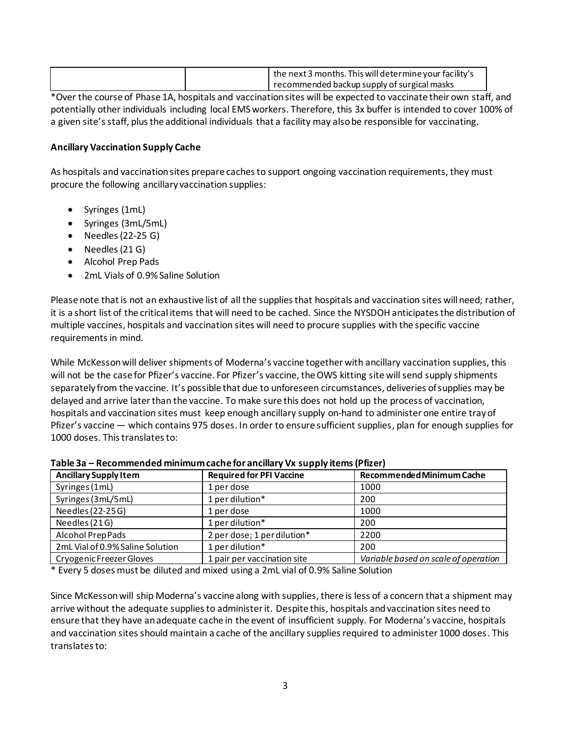|  | the next 3 months. This will determine your facility's |
|--|--------------------------------------------------------|
|  | recommended backup supply of surgical masks            |

\*Over the course of Phase 1A, hospitals and vaccination sites will be expected to vaccinate their own staff, and potentially other individuals including local EMS workers. Therefore, this 3x buffer is intended to cover 100% of a given site's staff, plus the additional individuals that a facility may also be responsible for vaccinating.

### **Ancillary Vaccination Supply Cache**

As hospitals and vaccination sites prepare caches to support ongoing vaccination requirements, they must procure the following ancillary vaccination supplies:

- Syringes (1mL)
- Syringes (3mL/5mL)
- Needles (22-25 G)
- Needles (21 G)
- Alcohol Prep Pads
- 2mL Vials of 0.9% Saline Solution

Please note that is not an exhaustive list of all the supplies that hospitals and vaccination sites will need; rather, it is a short list of the critical items that will need to be cached. Since the NYSDOH anticipates the distribution of multiple vaccines, hospitals and vaccination sites will need to procure supplies with the specific vaccine requirements in mind.

While McKesson will deliver shipments of Moderna's vaccine together with ancillary vaccination supplies, this will not be the case for Pfizer's vaccine. For Pfizer's vaccine, the OWS kitting site will send supply shipments separately from the vaccine. It's possible that due to unforeseen circumstances, deliveries of supplies may be delayed and arrive later than the vaccine. To make sure this does not hold up the process of vaccination, hospitals and vaccination sites must keep enough ancillary supply on-hand to administer one entire tray of Pfizer's vaccine — which contains 975 doses. In order to ensure sufficient supplies, plan for enough supplies for 1000 doses. This translates to:

| <b>Ancillary Supply Item</b>     | <b>Required for PFI Vaccine</b> | Recommended Minimum Cache            |
|----------------------------------|---------------------------------|--------------------------------------|
| Syringes (1mL)                   | 1 per dose                      | 1000                                 |
| Syringes (3mL/5mL)               | 1 per dilution*                 | 200                                  |
| Needles (22-25G)                 | 1 per dose                      | 1000                                 |
| Needles (21G)                    | 1 per dilution*                 | 200                                  |
| Alcohol Prep Pads                | 2 per dose; 1 per dilution*     | 2200                                 |
| 2mL Vial of 0.9% Saline Solution | 1 per dilution*                 | 200                                  |
| Cryogenic Freezer Gloves         | 1 pair per vaccination site     | Variable based on scale of operation |

\* Every 5 doses must be diluted and mixed using a 2mL vial of 0.9% Saline Solution

Since McKesson will ship Moderna's vaccine along with supplies, there is less of a concern that a shipment may arrive without the adequate supplies to administer it. Despite this, hospitals and vaccination sites need to ensure that they have an adequate cache in the event of insufficient supply. For Moderna's vaccine, hospitals and vaccination sites should maintain a cache of the ancillary supplies required to administer 1000 doses. This translates to: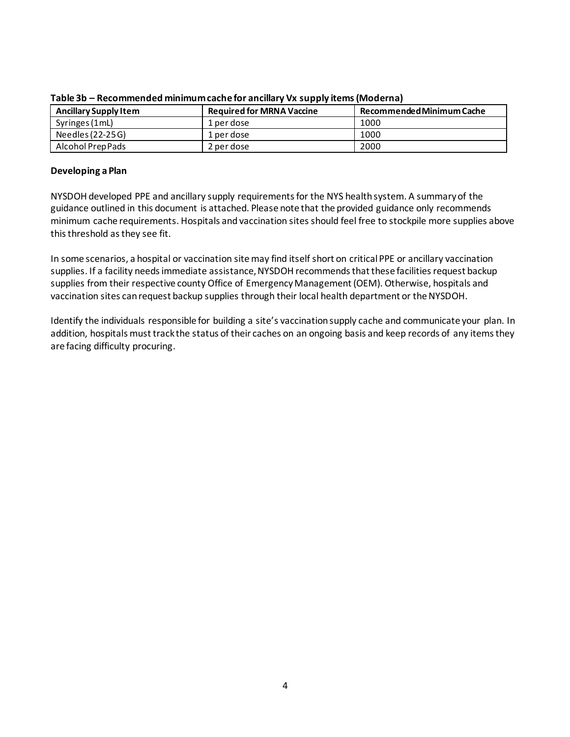| <b>Ancillary Supply Item</b> | <b>Required for MRNA Vaccine</b> | Recommended Minimum Cache |
|------------------------------|----------------------------------|---------------------------|
| Syringes (1mL)               | 1 per dose                       | 1000                      |
| Needles (22-25G)             | 1 per dose                       | 1000                      |
| Alcohol Prep Pads            | 2 per dose                       | 2000                      |

**Table 3b – Recommended minimum cache for ancillary Vx supply items (Moderna)**

#### **Developing a Plan**

NYSDOH developed PPE and ancillary supply requirements for the NYS health system. A summary of the guidance outlined in this document is attached. Please note that the provided guidance only recommends minimum cache requirements. Hospitals and vaccination sites should feel free to stockpile more supplies above this threshold as they see fit.

In some scenarios, a hospital or vaccination site may find itself short on critical PPE or ancillary vaccination supplies. If a facility needs immediate assistance, NYSDOH recommends that these facilities request backup supplies from their respective county Office of Emergency Management (OEM). Otherwise, hospitals and vaccination sites can request backup supplies through their local health department or the NYSDOH.

Identify the individuals responsible for building a site's vaccination supply cache and communicate your plan. In addition, hospitals must track the status of their caches on an ongoing basis and keep records of any items they are facing difficulty procuring.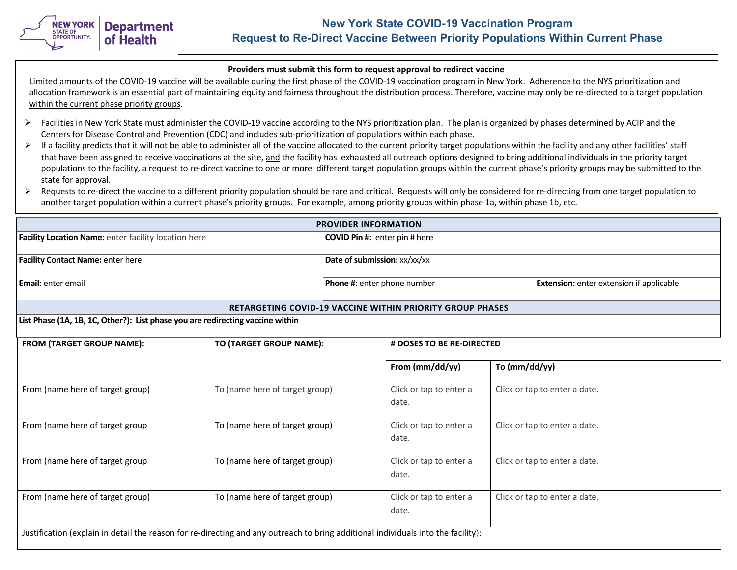

# **New York State COVID-19 Vaccination Program Request to Re-Direct Vaccine Between Priority Populations Within Current Phase**

#### **Providers must submit this form to request approval to redirect vaccine**

Limited amounts of the COVID-19 vaccine will be available during the first phase of the COVID-19 vaccination program in New York. Adherence to the NYS prioritization and allocation framework is an essential part of maintaining equity and fairness throughout the distribution process. Therefore, vaccine may only be re-directed to a target population within the current phase priority groups.

- $\triangleright$  Facilities in New York State must administer the COVID-19 vaccine according to the NYS prioritization plan. The plan is organized by phases determined by ACIP and the Centers for Disease Control and Prevention (CDC) and includes sub-prioritization of populations within each phase.
- $\triangleright$  If a facility predicts that it will not be able to administer all of the vaccine allocated to the current priority target populations within the facility and any other facilities' staff that have been assigned to receive vaccinations at the site, and the facility has exhausted all outreach options designed to bring additional individuals in the priority target populations to the facility, a request to re-direct vaccine to one or more different target population groups within the current phase's priority groups may be submitted to the state for approval.
- E Requests to re-direct the vaccine to a different priority population should be rare and critical. Requests will only be considered for re-directing from one target population to another target population within a current phase's priority groups. For example, among priority groups within phase 1a, within phase 1b, etc.

| <b>PROVIDER INFORMATION</b>                                                                                                       |                                |                                      |                                  |                                                 |  |
|-----------------------------------------------------------------------------------------------------------------------------------|--------------------------------|--------------------------------------|----------------------------------|-------------------------------------------------|--|
| Facility Location Name: enter facility location here                                                                              |                                | <b>COVID Pin #:</b> enter pin # here |                                  |                                                 |  |
| <b>Facility Contact Name: enter here</b>                                                                                          |                                | Date of submission: xx/xx/xx         |                                  |                                                 |  |
| Email: enter email                                                                                                                |                                |                                      | Phone #: enter phone number      | <b>Extension:</b> enter extension if applicable |  |
| <b>RETARGETING COVID-19 VACCINE WITHIN PRIORITY GROUP PHASES</b>                                                                  |                                |                                      |                                  |                                                 |  |
| List Phase (1A, 1B, 1C, Other?): List phase you are redirecting vaccine within                                                    |                                |                                      |                                  |                                                 |  |
| <b>FROM (TARGET GROUP NAME):</b>                                                                                                  | TO (TARGET GROUP NAME):        | # DOSES TO BE RE-DIRECTED            |                                  |                                                 |  |
|                                                                                                                                   |                                |                                      | From (mm/dd/yy)                  | To (mm/dd/yy)                                   |  |
| From (name here of target group)                                                                                                  | To (name here of target group) |                                      | Click or tap to enter a<br>date. | Click or tap to enter a date.                   |  |
| From (name here of target group                                                                                                   | To (name here of target group) |                                      | Click or tap to enter a<br>date. | Click or tap to enter a date.                   |  |
| From (name here of target group                                                                                                   | To (name here of target group) |                                      | Click or tap to enter a<br>date. | Click or tap to enter a date.                   |  |
| From (name here of target group)                                                                                                  | To (name here of target group) |                                      | Click or tap to enter a<br>date. | Click or tap to enter a date.                   |  |
| Justification (explain in detail the reason for re-directing and any outreach to bring additional individuals into the facility): |                                |                                      |                                  |                                                 |  |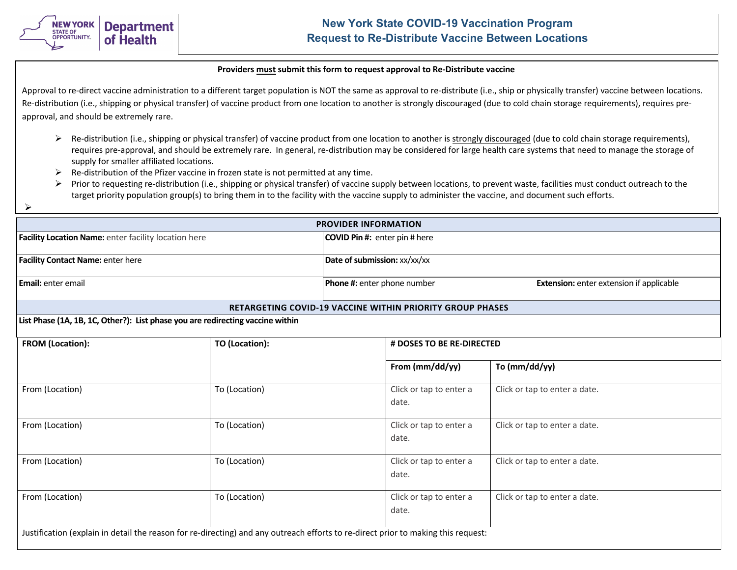

# **New York State COVID-19 Vaccination Program Request to Re-Distribute Vaccine Between Locations**

#### **Providers must submit this form to request approval to Re-Distribute vaccine**

Approval to re-direct vaccine administration to a different target population is NOT the same as approval to re-distribute (i.e., ship or physically transfer) vaccine between locations. Re-distribution (i.e., shipping or physical transfer) of vaccine product from one location to another is strongly discouraged (due to cold chain storage requirements), requires preapproval, and should be extremely rare.

- $\triangleright$  Re-distribution (i.e., shipping or physical transfer) of vaccine product from one location to another is strongly discouraged (due to cold chain storage requirements), requires pre-approval, and should be extremely rare. In general, re-distribution may be considered for large health care systems that need to manage the storage of supply for smaller affiliated locations.
- $\triangleright$  Re-distribution of the Pfizer vaccine in frozen state is not permitted at any time.
- $\triangleright$  Prior to requesting re-distribution (i.e., shipping or physical transfer) of vaccine supply between locations, to prevent waste, facilities must conduct outreach to the target priority population group(s) to bring them in to the facility with the vaccine supply to administer the vaccine, and document such efforts.
- $\blacktriangleright$

| <b>PROVIDER INFORMATION</b>                          |                                                                                                                                   |                             |                                                                  |                                                 |  |
|------------------------------------------------------|-----------------------------------------------------------------------------------------------------------------------------------|-----------------------------|------------------------------------------------------------------|-------------------------------------------------|--|
| Facility Location Name: enter facility location here |                                                                                                                                   |                             | COVID Pin #: enter pin # here                                    |                                                 |  |
| Facility Contact Name: enter here                    |                                                                                                                                   |                             | Date of submission: xx/xx/xx                                     |                                                 |  |
| Email: enter email                                   |                                                                                                                                   | Phone #: enter phone number |                                                                  | <b>Extension:</b> enter extension if applicable |  |
|                                                      |                                                                                                                                   |                             | <b>RETARGETING COVID-19 VACCINE WITHIN PRIORITY GROUP PHASES</b> |                                                 |  |
|                                                      | List Phase (1A, 1B, 1C, Other?): List phase you are redirecting vaccine within                                                    |                             |                                                                  |                                                 |  |
| FROM (Location):<br>TO (Location):                   |                                                                                                                                   |                             | # DOSES TO BE RE-DIRECTED                                        |                                                 |  |
|                                                      |                                                                                                                                   |                             | From (mm/dd/yy)                                                  | To (mm/dd/yy)                                   |  |
| From (Location)                                      | To (Location)                                                                                                                     |                             | Click or tap to enter a<br>date.                                 | Click or tap to enter a date.                   |  |
| From (Location)                                      | To (Location)                                                                                                                     |                             | Click or tap to enter a<br>date.                                 | Click or tap to enter a date.                   |  |
| From (Location)                                      | To (Location)                                                                                                                     |                             | Click or tap to enter a<br>date.                                 | Click or tap to enter a date.                   |  |
| From (Location)                                      | To (Location)                                                                                                                     |                             | Click or tap to enter a<br>date.                                 | Click or tap to enter a date.                   |  |
|                                                      | Justification (explain in detail the reason for re-directing) and any outreach efforts to re-direct prior to making this request: |                             |                                                                  |                                                 |  |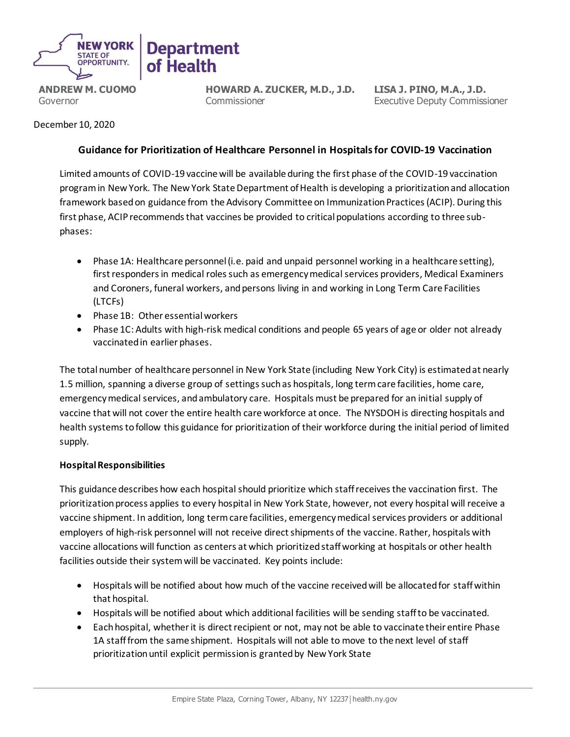

**HOWARD A. ZUCKER, M.D., J.D.** Commissioner

**LISA J. PINO, M.A., J.D.** Executive Deputy Commissioner

## December 10, 2020

## **Guidance for Prioritization of Healthcare Personnel in Hospitals for COVID-19 Vaccination**

Limited amounts of COVID-19 vaccine will be available during the first phase of the COVID-19 vaccination program in New York. The New York State Department of Health is developing a prioritization and allocation framework based on guidance from the Advisory Committee on Immunization Practices (ACIP). During this first phase, ACIP recommends that vaccines be provided to critical populations according to three subphases:

- Phase 1A: Healthcare personnel (i.e. paid and unpaid personnel working in a healthcare setting), first responders in medical roles such as emergency medical services providers, Medical Examiners and Coroners, funeral workers, and persons living in and working in Long Term Care Facilities (LTCFs)
- Phase 1B: Other essential workers
- Phase 1C: Adults with high-risk medical conditions and people 65 years of age or older not already vaccinated in earlier phases.

The total number of healthcare personnel in New York State (including New York City) is estimated at nearly 1.5 million, spanning a diverse group of settings such as hospitals, long term care facilities, home care, emergency medical services, and ambulatory care. Hospitals must be prepared for an initial supply of vaccine that will not cover the entire health care workforce at once. The NYSDOH is directing hospitals and health systems to follow this guidance for prioritization of their workforce during the initial period of limited supply.

## **Hospital Responsibilities**

This guidance describes how each hospital should prioritize which staff receives the vaccination first. The prioritization process applies to every hospital in New York State, however, not every hospital will receive a vaccine shipment. In addition, long term care facilities, emergency medical services providers or additional employers of high-risk personnel will not receive direct shipments of the vaccine. Rather, hospitals with vaccine allocations will function as centers at which prioritized staff working at hospitals or other health facilities outside their system will be vaccinated. Key points include:

- Hospitals will be notified about how much of the vaccine received will be allocated for staff within that hospital.
- Hospitals will be notified about which additional facilities will be sending staff to be vaccinated.
- Each hospital, whether it is direct recipient or not, may not be able to vaccinate their entire Phase 1A staff from the same shipment. Hospitals will not able to move to the next level of staff prioritization until explicit permission is granted by New York State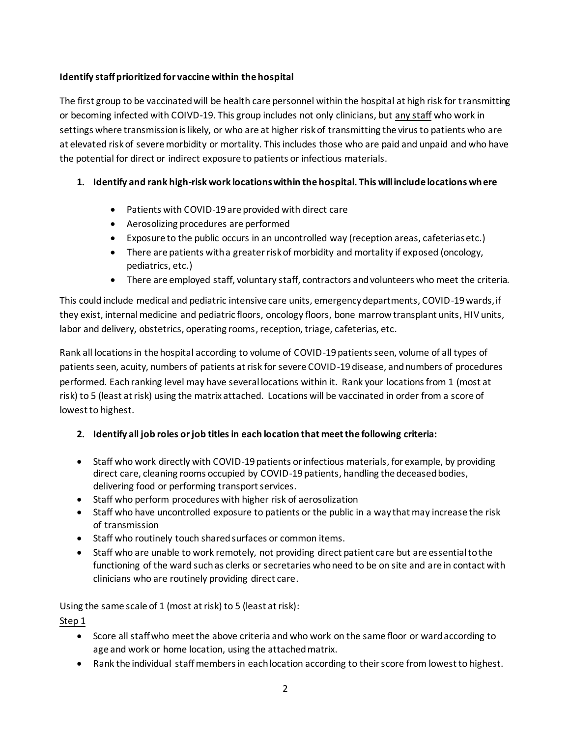# **Identify staff prioritized for vaccine within the hospital**

The first group to be vaccinated will be health care personnel within the hospital at high risk for transmitting or becoming infected with COIVD-19. This group includes not only clinicians, but any staff who work in settings where transmission is likely, or who are at higher risk of transmitting the virus to patients who are at elevated risk of severe morbidity or mortality. This includes those who are paid and unpaid and who have the potential for direct or indirect exposure to patients or infectious materials.

# **1. Identify and rank high-risk work locations within the hospital. This will include locations where**

- Patients with COVID-19 are provided with direct care
- Aerosolizing procedures are performed
- Exposure to the public occurs in an uncontrolled way (reception areas, cafeterias etc.)
- There are patients with a greater risk of morbidity and mortality if exposed (oncology, pediatrics, etc.)
- There are employed staff, voluntary staff, contractors and volunteers who meet the criteria.

This could include medical and pediatric intensive care units, emergency departments, COVID-19 wards, if they exist, internal medicine and pediatric floors, oncology floors, bone marrow transplant units, HIV units, labor and delivery, obstetrics, operating rooms, reception, triage, cafeterias, etc.

Rank all locations in the hospital according to volume of COVID-19 patients seen, volume of all types of patients seen, acuity, numbers of patients at risk for severe COVID-19 disease, and numbers of procedures performed. Each ranking level may have several locations within it. Rank your locations from 1 (most at risk) to 5 (least at risk) using the matrix attached. Locations will be vaccinated in order from a score of lowest to highest.

# **2. Identify all job roles or job titlesin each location that meet the following criteria:**

- Staff who work directly with COVID-19 patients or infectious materials, for example, by providing direct care, cleaning rooms occupied by COVID-19 patients, handling the deceased bodies, delivering food or performing transport services.
- Staff who perform procedures with higher risk of aerosolization
- Staff who have uncontrolled exposure to patients or the public in a way that may increase the risk of transmission
- Staff who routinely touch shared surfaces or common items.
- Staff who are unable to work remotely, not providing direct patient care but are essential to the functioning of the ward such as clerks or secretaries who need to be on site and are in contact with clinicians who are routinely providing direct care.

Using the same scale of 1 (most at risk) to 5 (least at risk):

Step 1

- Score all staff who meet the above criteria and who work on the same floor or ward according to age and work or home location, using the attached matrix.
- Rank the individual staff members in each location according to their score from lowest to highest.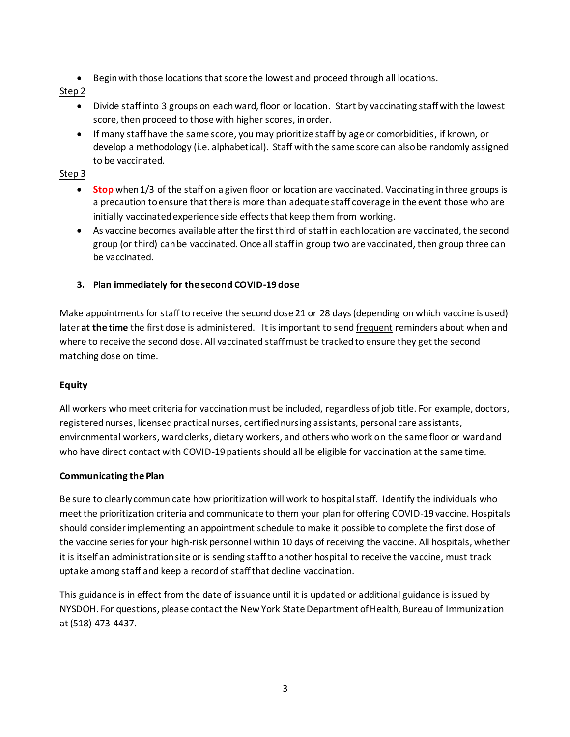• Begin with those locations that score the lowest and proceed through all locations.

## Step 2

- Divide staff into 3 groups on each ward, floor or location. Start by vaccinating staff with the lowest score, then proceed to those with higher scores, in order.
- If many staff have the same score, you may prioritize staff by age or comorbidities, if known, or develop a methodology (i.e. alphabetical). Staff with the same score can also be randomly assigned to be vaccinated.

## Step 3

- **Stop** when 1/3 of the staff on a given floor or location are vaccinated. Vaccinating in three groups is a precaution to ensure that there is more than adequate staff coverage in the event those who are initially vaccinated experience side effects that keep them from working.
- As vaccine becomes available after the first third of staff in each location are vaccinated, the second group (or third) can be vaccinated. Once all staff in group two are vaccinated, then group three can be vaccinated.
- **3. Plan immediately for the second COVID-19 dose**

Make appointments for staff to receive the second dose 21 or 28 days (depending on which vaccine is used) later **at the time** the first dose is administered. It is important to send frequent reminders about when and where to receive the second dose. All vaccinated staff must be tracked to ensure they get the second matching dose on time.

## **Equity**

All workers who meet criteria for vaccination must be included, regardless of job title. For example, doctors, registered nurses, licensed practical nurses, certified nursing assistants, personal care assistants, environmental workers, ward clerks, dietary workers, and others who work on the same floor or ward and who have direct contact with COVID-19 patients should all be eligible for vaccination at the same time.

## **Communicating the Plan**

Be sure to clearly communicate how prioritization will work to hospital staff. Identify the individuals who meet the prioritization criteria and communicate to them your plan for offering COVID-19 vaccine. Hospitals should consider implementing an appointment schedule to make it possible to complete the first dose of the vaccine series for your high-risk personnel within 10 days of receiving the vaccine. All hospitals, whether it is itself an administration site or is sending staff to another hospital to receive the vaccine, must track uptake among staff and keep a record of staff that decline vaccination.

This guidance is in effect from the date of issuance until it is updated or additional guidance is issued by NYSDOH. For questions, please contact the New York State Department of Health, Bureau of Immunization at (518) 473-4437.